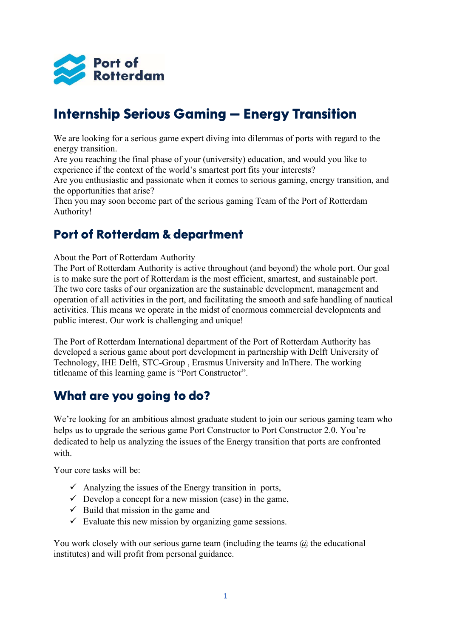

# Internship Serious Gaming – Energy Transition

We are looking for a serious game expert diving into dilemmas of ports with regard to the energy transition.

Are you reaching the final phase of your (university) education, and would you like to experience if the context of the world's smartest port fits your interests?

Are you enthusiastic and passionate when it comes to serious gaming, energy transition, and the opportunities that arise?

Then you may soon become part of the serious gaming Team of the Port of Rotterdam Authority!

#### Port of Rotterdam & department

About the Port of Rotterdam Authority

The Port of Rotterdam Authority is active throughout (and beyond) the whole port. Our goal is to make sure the port of Rotterdam is the most efficient, smartest, and sustainable port. The two core tasks of our organization are the sustainable development, management and operation of all activities in the port, and facilitating the smooth and safe handling of nautical activities. This means we operate in the midst of enormous commercial developments and public interest. Our work is challenging and unique!

The Port of Rotterdam International department of the Port of Rotterdam Authority has developed a serious game about port development in partnership with Delft University of Technology, IHE Delft, STC-Group , Erasmus University and InThere. The working titlename of this learning game is "Port Constructor".

#### What are you going to do?

We're looking for an ambitious almost graduate student to join our serious gaming team who helps us to upgrade the serious game Port Constructor to Port Constructor 2.0. You're dedicated to help us analyzing the issues of the Energy transition that ports are confronted with.

Your core tasks will be:

- $\checkmark$  Analyzing the issues of the Energy transition in ports,
- $\checkmark$  Develop a concept for a new mission (case) in the game,
- $\checkmark$  Build that mission in the game and
- $\checkmark$  Evaluate this new mission by organizing game sessions.

You work closely with our serious game team (including the teams  $\omega$ ) the educational institutes) and will profit from personal guidance.